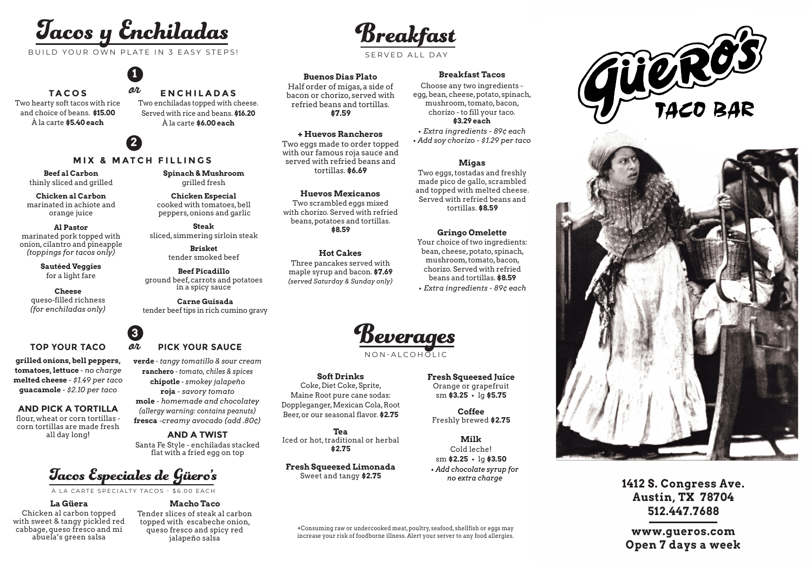# Tacos y Enchiladas

BUILD YOUR OWN PLATE IN 3 EASY STEPS!

or

**1**

**TACOS** Two hearty soft tacos with rice and choice of beans. **\$15.00** À la carte **\$5.40 each**

### À la carte **\$6.00 each 2**

### **MIX & MATCH FILLINGS**

**Beef al Carbon** thinly sliced and grilled

**Chicken al Carbon** marinated in achiote and orange juice

**Al Pastor** marinated pork topped with onion, cilantro and pineapple *(toppings for tacos only)*

> **Sautéed Veggies** for a light fare

**Cheese** queso-filled richness *(for enchiladas only)*

#### **TOP YOUR TACO** *QU* PICK YOUR SAUCE

**grilled onions, bell peppers, tomatoes, lettuce** - *no charge* **melted cheese** - *\$1.49 per taco* **guacamole** - *\$2.10 per taco*

#### **AND PICK A TORTILLA**

flour, wheat or corn tortillas corn tortillas are made fresh all day long!

### or **Carne Guisada** tender beef tips in rich cumino gravy **3**

**Steak** sliced, simmering sirloin steak

**Brisket** tender smoked beef **Beef Picadillo** ground beef, carrots and potatoes in a spicy sauce

**Chicken Especial** cooked with tomatoes, bell peppers, onions and garlic

**Spinach & Mushroom** grilled fresh

**ENCHILADAS** Two enchiladas topped with cheese. Served with rice and beans. **\$16.20**

**verde** - *tangy tomatillo & sour cream*

**ranchero** - *tomato, chiles & spices* **chipotle** - *smokey jalapeño* **roja** *- savory tomato* **mole** *- homemade and chocolatey (allergy warning: contains peanuts)* **fresca** *-creamy avocado (add .80¢)*

## **AND A TWIST**

flat with a fried egg on top

## Tacos Especiales de Güero's

À LA CARTE SPECIALTY TACOS - \$6.00 EACH

#### **La Güera**

Chicken al carbon topped with sweet & tangy pickled red cabbage, queso fresco and mi abuela's green salsa

### **Macho Taco** Tender slices of steak al carbon

topped with escabeche onion, queso fresco and spicy red jalapeño salsa

Breakfast

SERVED ALL DAY

**Buenos Dias Plato** Half order of migas, a side of bacon or chorizo, served with refried beans and tortillas. **\$7.59**

#### **+ Huevos Rancheros**

Two eggs made to order topped with our famous roja sauce and served with refried beans and tortillas. **\$6.69**

**Huevos Mexicanos** Two scrambled eggs mixed with chorizo. Served with refried beans, potatoes and tortillas. **\$8.59**

**Hot Cakes** Three pancakes served with maple syrup and bacon. **\$7.69** *(served Saturday & Sunday only)*

#### **Breakfast Tacos**

Choose any two ingredients egg, bean, cheese, potato, spinach, mushroom, tomato, bacon, chorizo - to fill your taco. **\$3.29 each** *• Extra ingredients - 89¢ each • Add soy chorizo - \$1.29 per taco*

#### **Migas**

Two eggs, tostadas and freshly made pico de gallo, scrambled and topped with melted cheese. Served with refried beans and tortillas. **\$8.59**

#### **Gringo Omelette**

Your choice of two ingredients: bean, cheese, potato, spinach, mushroom, tomato, bacon, chorizo. Served with refried beans and tortillas. **\$8.59** *• Extra ingredients - 89¢ each*



NON-ALCOHOLIC

#### **Soft Drinks**

Coke, Diet Coke, Sprite, Maine Root pure cane sodas: Doppleganger, Mexican Cola, Root Beer, or our seasonal flavor. **\$2.75**

**Tea** Iced or hot, traditional or herbal **\$2.75**

**Fresh Squeezed Limonada** Sweet and tangy **\$2.75**

**Fresh Squeezed Juice** Orange or grapefruit sm **\$3.25** *•* lg **\$5.75**

**Coffee** Freshly brewed **\$2.75**

**Milk** Cold leche! sm **\$2.25** *•* lg **\$3.50** *• Add chocolate syrup for no extra charge*







**1412 S. Congress Ave. Austin, TX 78704 512.447.7688**

**www.gueros.com Open 7 days a week**

Santa Fe Style - enchiladas stacked